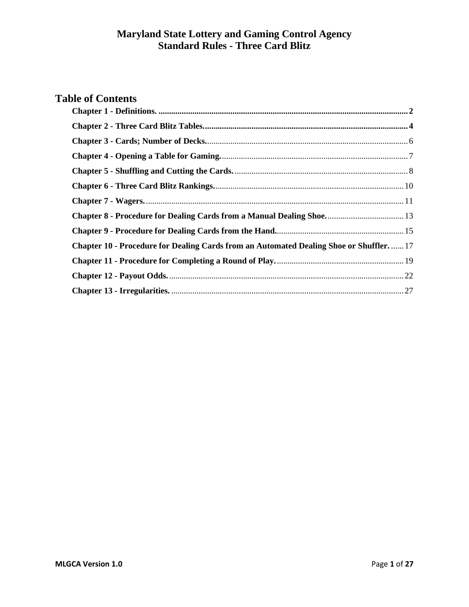# **Table of Contents**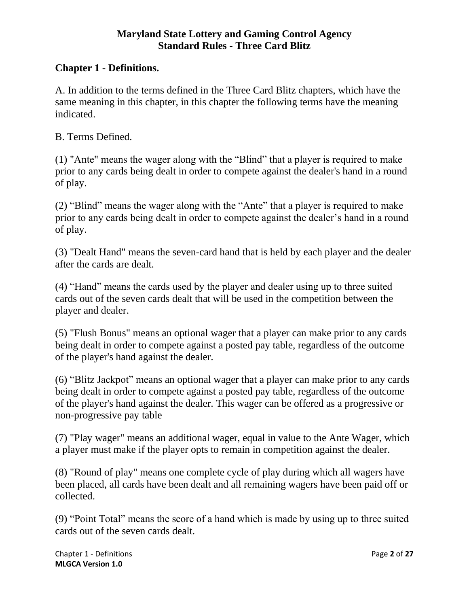## <span id="page-1-0"></span>**Chapter 1 - Definitions.**

A. In addition to the terms defined in the Three Card Blitz chapters, which have the same meaning in this chapter, in this chapter the following terms have the meaning indicated.

B. Terms Defined.

(1) "Ante" means the wager along with the "Blind" that a player is required to make prior to any cards being dealt in order to compete against the dealer's hand in a round of play.

(2) "Blind" means the wager along with the "Ante" that a player is required to make prior to any cards being dealt in order to compete against the dealer's hand in a round of play.

(3) "Dealt Hand" means the seven-card hand that is held by each player and the dealer after the cards are dealt.

(4) "Hand" means the cards used by the player and dealer using up to three suited cards out of the seven cards dealt that will be used in the competition between the player and dealer.

(5) "Flush Bonus" means an optional wager that a player can make prior to any cards being dealt in order to compete against a posted pay table, regardless of the outcome of the player's hand against the dealer.

(6) "Blitz Jackpot" means an optional wager that a player can make prior to any cards being dealt in order to compete against a posted pay table, regardless of the outcome of the player's hand against the dealer. This wager can be offered as a progressive or non-progressive pay table

(7) "Play wager" means an additional wager, equal in value to the Ante Wager, which a player must make if the player opts to remain in competition against the dealer.

(8) "Round of play" means one complete cycle of play during which all wagers have been placed, all cards have been dealt and all remaining wagers have been paid off or collected.

(9) "Point Total" means the score of a hand which is made by using up to three suited cards out of the seven cards dealt.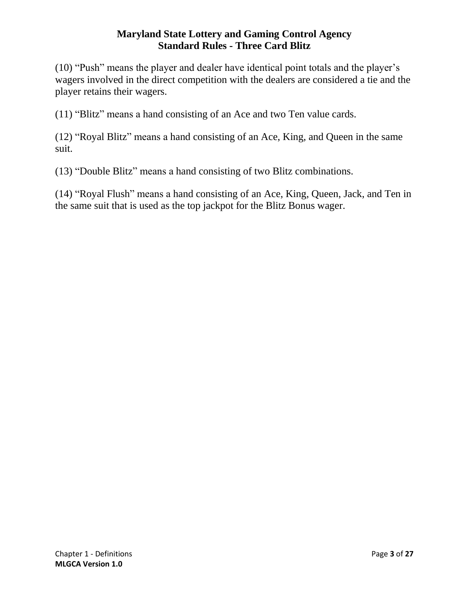(10) "Push" means the player and dealer have identical point totals and the player's wagers involved in the direct competition with the dealers are considered a tie and the player retains their wagers.

(11) "Blitz" means a hand consisting of an Ace and two Ten value cards.

(12) "Royal Blitz" means a hand consisting of an Ace, King, and Queen in the same suit.

(13) "Double Blitz" means a hand consisting of two Blitz combinations.

(14) "Royal Flush" means a hand consisting of an Ace, King, Queen, Jack, and Ten in the same suit that is used as the top jackpot for the Blitz Bonus wager.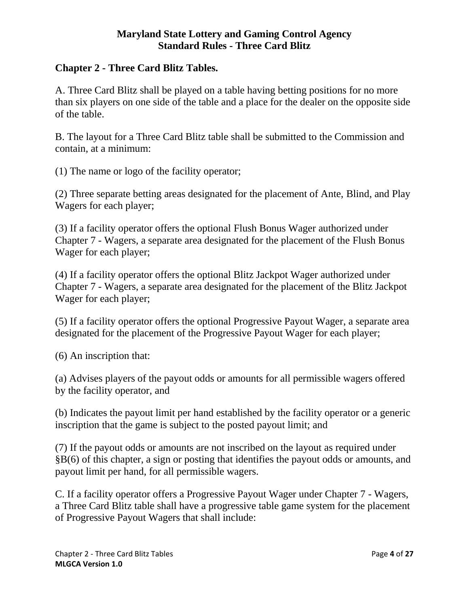## <span id="page-3-0"></span>**Chapter 2 - Three Card Blitz Tables.**

A. Three Card Blitz shall be played on a table having betting positions for no more than six players on one side of the table and a place for the dealer on the opposite side of the table.

B. The layout for a Three Card Blitz table shall be submitted to the Commission and contain, at a minimum:

(1) The name or logo of the facility operator;

(2) Three separate betting areas designated for the placement of Ante, Blind, and Play Wagers for each player;

(3) If a facility operator offers the optional Flush Bonus Wager authorized under Chapter 7 - Wagers, a separate area designated for the placement of the Flush Bonus Wager for each player;

(4) If a facility operator offers the optional Blitz Jackpot Wager authorized under Chapter 7 - Wagers, a separate area designated for the placement of the Blitz Jackpot Wager for each player;

(5) If a facility operator offers the optional Progressive Payout Wager, a separate area designated for the placement of the Progressive Payout Wager for each player;

(6) An inscription that:

(a) Advises players of the payout odds or amounts for all permissible wagers offered by the facility operator, and

(b) Indicates the payout limit per hand established by the facility operator or a generic inscription that the game is subject to the posted payout limit; and

(7) If the payout odds or amounts are not inscribed on the layout as required under §B(6) of this chapter, a sign or posting that identifies the payout odds or amounts, and payout limit per hand, for all permissible wagers.

C. If a facility operator offers a Progressive Payout Wager under Chapter 7 - Wagers, a Three Card Blitz table shall have a progressive table game system for the placement of Progressive Payout Wagers that shall include: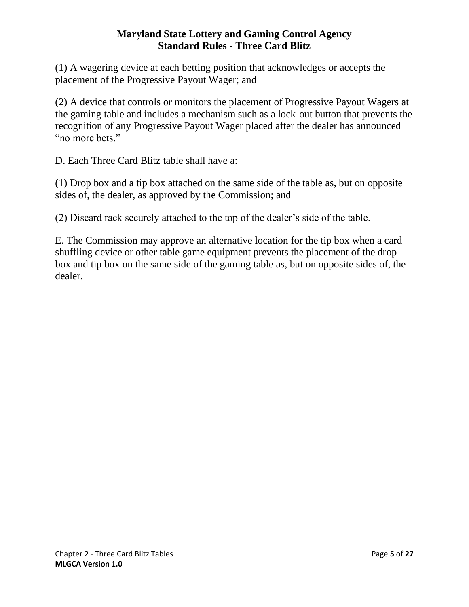(1) A wagering device at each betting position that acknowledges or accepts the placement of the Progressive Payout Wager; and

(2) A device that controls or monitors the placement of Progressive Payout Wagers at the gaming table and includes a mechanism such as a lock-out button that prevents the recognition of any Progressive Payout Wager placed after the dealer has announced "no more bets."

D. Each Three Card Blitz table shall have a:

(1) Drop box and a tip box attached on the same side of the table as, but on opposite sides of, the dealer, as approved by the Commission; and

(2) Discard rack securely attached to the top of the dealer's side of the table.

E. The Commission may approve an alternative location for the tip box when a card shuffling device or other table game equipment prevents the placement of the drop box and tip box on the same side of the gaming table as, but on opposite sides of, the dealer.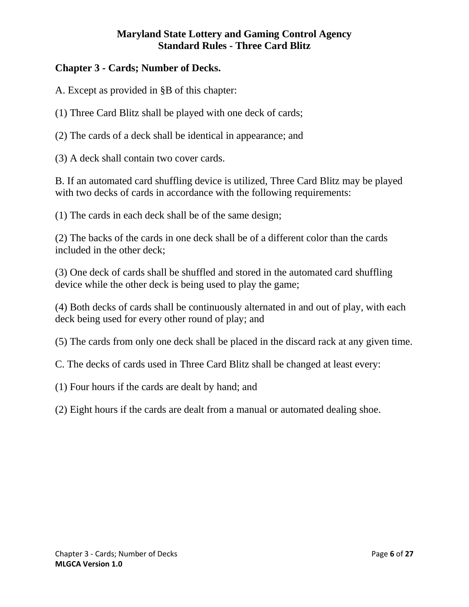## <span id="page-5-0"></span>**Chapter 3 - Cards; Number of Decks.**

A. Except as provided in §B of this chapter:

(1) Three Card Blitz shall be played with one deck of cards;

(2) The cards of a deck shall be identical in appearance; and

(3) A deck shall contain two cover cards.

B. If an automated card shuffling device is utilized, Three Card Blitz may be played with two decks of cards in accordance with the following requirements:

(1) The cards in each deck shall be of the same design;

(2) The backs of the cards in one deck shall be of a different color than the cards included in the other deck;

(3) One deck of cards shall be shuffled and stored in the automated card shuffling device while the other deck is being used to play the game;

(4) Both decks of cards shall be continuously alternated in and out of play, with each deck being used for every other round of play; and

(5) The cards from only one deck shall be placed in the discard rack at any given time.

C. The decks of cards used in Three Card Blitz shall be changed at least every:

(1) Four hours if the cards are dealt by hand; and

(2) Eight hours if the cards are dealt from a manual or automated dealing shoe.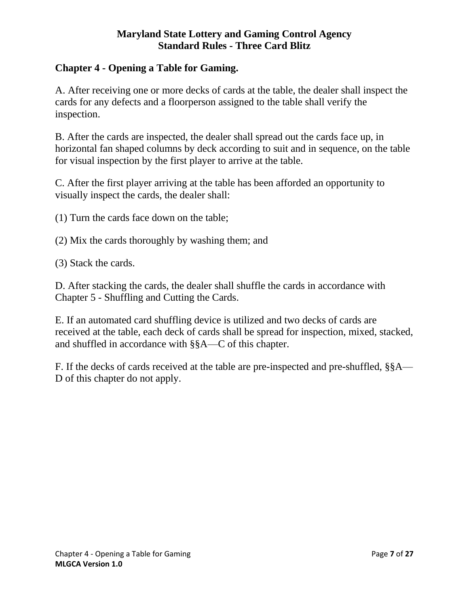## <span id="page-6-0"></span>**Chapter 4 - Opening a Table for Gaming.**

A. After receiving one or more decks of cards at the table, the dealer shall inspect the cards for any defects and a floorperson assigned to the table shall verify the inspection.

B. After the cards are inspected, the dealer shall spread out the cards face up, in horizontal fan shaped columns by deck according to suit and in sequence, on the table for visual inspection by the first player to arrive at the table.

C. After the first player arriving at the table has been afforded an opportunity to visually inspect the cards, the dealer shall:

(1) Turn the cards face down on the table;

- (2) Mix the cards thoroughly by washing them; and
- (3) Stack the cards.

D. After stacking the cards, the dealer shall shuffle the cards in accordance with Chapter 5 - Shuffling and Cutting the Cards.

E. If an automated card shuffling device is utilized and two decks of cards are received at the table, each deck of cards shall be spread for inspection, mixed, stacked, and shuffled in accordance with §§A—C of this chapter.

F. If the decks of cards received at the table are pre-inspected and pre-shuffled, §§A— D of this chapter do not apply.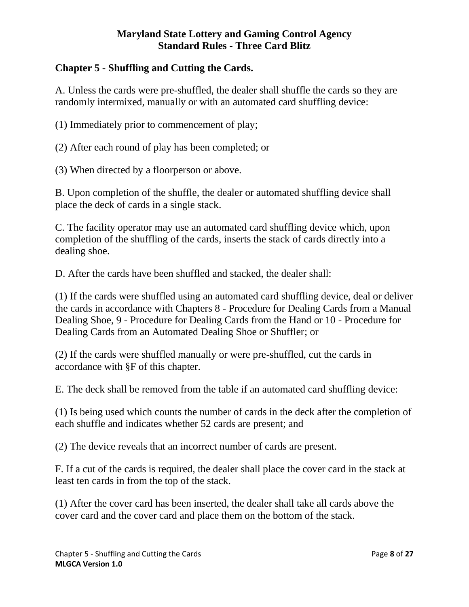# <span id="page-7-0"></span>**Chapter 5 - Shuffling and Cutting the Cards.**

A. Unless the cards were pre-shuffled, the dealer shall shuffle the cards so they are randomly intermixed, manually or with an automated card shuffling device:

(1) Immediately prior to commencement of play;

(2) After each round of play has been completed; or

(3) When directed by a floorperson or above.

B. Upon completion of the shuffle, the dealer or automated shuffling device shall place the deck of cards in a single stack.

C. The facility operator may use an automated card shuffling device which, upon completion of the shuffling of the cards, inserts the stack of cards directly into a dealing shoe.

D. After the cards have been shuffled and stacked, the dealer shall:

(1) If the cards were shuffled using an automated card shuffling device, deal or deliver the cards in accordance with Chapters 8 - Procedure for Dealing Cards from a Manual Dealing Shoe, 9 - Procedure for Dealing Cards from the Hand or 10 - Procedure for Dealing Cards from an Automated Dealing Shoe or Shuffler; or

(2) If the cards were shuffled manually or were pre-shuffled, cut the cards in accordance with §F of this chapter.

E. The deck shall be removed from the table if an automated card shuffling device:

(1) Is being used which counts the number of cards in the deck after the completion of each shuffle and indicates whether 52 cards are present; and

(2) The device reveals that an incorrect number of cards are present.

F. If a cut of the cards is required, the dealer shall place the cover card in the stack at least ten cards in from the top of the stack.

(1) After the cover card has been inserted, the dealer shall take all cards above the cover card and the cover card and place them on the bottom of the stack.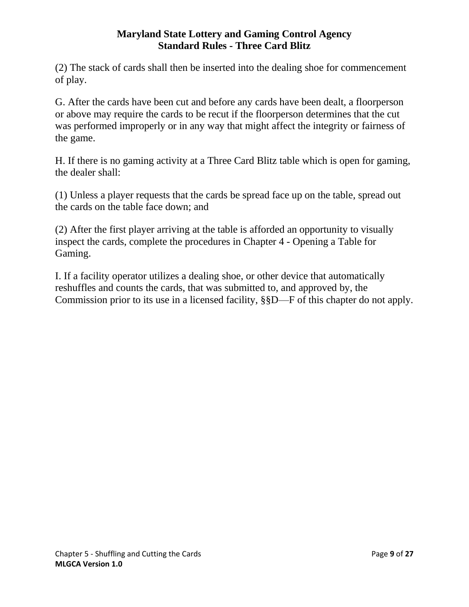(2) The stack of cards shall then be inserted into the dealing shoe for commencement of play.

G. After the cards have been cut and before any cards have been dealt, a floorperson or above may require the cards to be recut if the floorperson determines that the cut was performed improperly or in any way that might affect the integrity or fairness of the game.

H. If there is no gaming activity at a Three Card Blitz table which is open for gaming, the dealer shall:

(1) Unless a player requests that the cards be spread face up on the table, spread out the cards on the table face down; and

(2) After the first player arriving at the table is afforded an opportunity to visually inspect the cards, complete the procedures in Chapter 4 - Opening a Table for Gaming.

I. If a facility operator utilizes a dealing shoe, or other device that automatically reshuffles and counts the cards, that was submitted to, and approved by, the Commission prior to its use in a licensed facility, §§D—F of this chapter do not apply.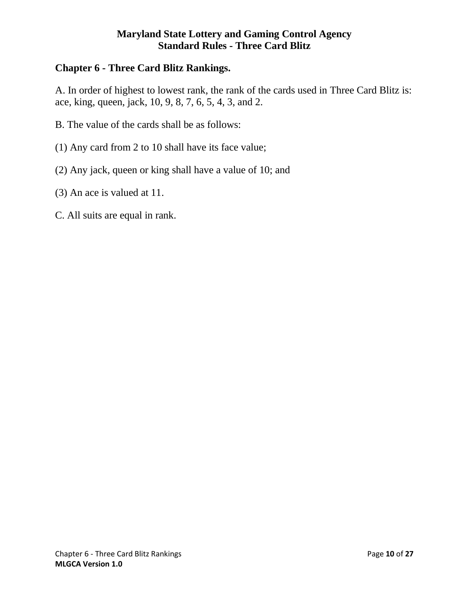## <span id="page-9-0"></span>**Chapter 6 - Three Card Blitz Rankings.**

A. In order of highest to lowest rank, the rank of the cards used in Three Card Blitz is: ace, king, queen, jack, 10, 9, 8, 7, 6, 5, 4, 3, and 2.

- B. The value of the cards shall be as follows:
- (1) Any card from 2 to 10 shall have its face value;
- (2) Any jack, queen or king shall have a value of 10; and
- (3) An ace is valued at 11.
- C. All suits are equal in rank.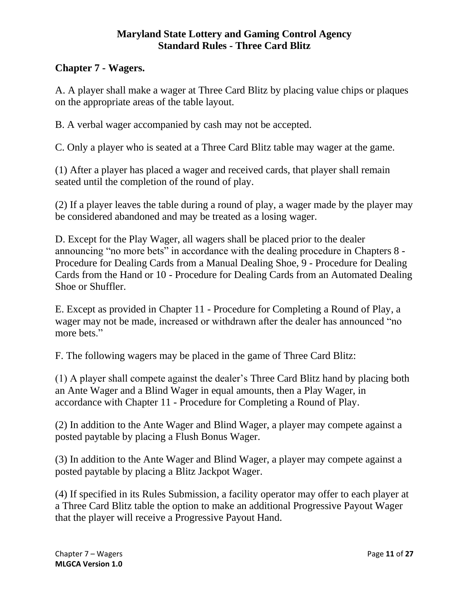# <span id="page-10-0"></span>**Chapter 7 - Wagers.**

A. A player shall make a wager at Three Card Blitz by placing value chips or plaques on the appropriate areas of the table layout.

B. A verbal wager accompanied by cash may not be accepted.

C. Only a player who is seated at a Three Card Blitz table may wager at the game.

(1) After a player has placed a wager and received cards, that player shall remain seated until the completion of the round of play.

(2) If a player leaves the table during a round of play, a wager made by the player may be considered abandoned and may be treated as a losing wager.

D. Except for the Play Wager, all wagers shall be placed prior to the dealer announcing "no more bets" in accordance with the dealing procedure in Chapters 8 - Procedure for Dealing Cards from a Manual Dealing Shoe, 9 - Procedure for Dealing Cards from the Hand or 10 - Procedure for Dealing Cards from an Automated Dealing Shoe or Shuffler.

E. Except as provided in Chapter 11 - Procedure for Completing a Round of Play, a wager may not be made, increased or withdrawn after the dealer has announced "no more bets."

F. The following wagers may be placed in the game of Three Card Blitz:

(1) A player shall compete against the dealer's Three Card Blitz hand by placing both an Ante Wager and a Blind Wager in equal amounts, then a Play Wager, in accordance with Chapter 11 - Procedure for Completing a Round of Play.

(2) In addition to the Ante Wager and Blind Wager, a player may compete against a posted paytable by placing a Flush Bonus Wager.

(3) In addition to the Ante Wager and Blind Wager, a player may compete against a posted paytable by placing a Blitz Jackpot Wager.

(4) If specified in its Rules Submission, a facility operator may offer to each player at a Three Card Blitz table the option to make an additional Progressive Payout Wager that the player will receive a Progressive Payout Hand.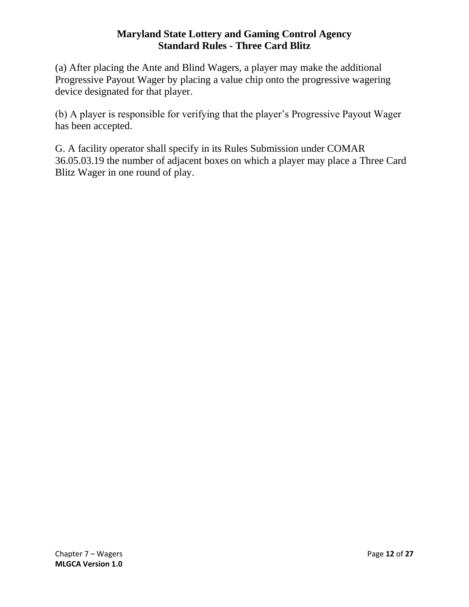(a) After placing the Ante and Blind Wagers, a player may make the additional Progressive Payout Wager by placing a value chip onto the progressive wagering device designated for that player.

(b) A player is responsible for verifying that the player's Progressive Payout Wager has been accepted.

G. A facility operator shall specify in its Rules Submission under COMAR 36.05.03.19 the number of adjacent boxes on which a player may place a Three Card Blitz Wager in one round of play.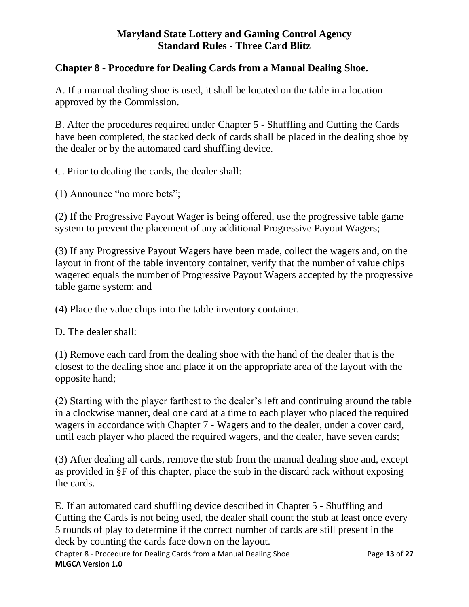# <span id="page-12-0"></span>**Chapter 8 - Procedure for Dealing Cards from a Manual Dealing Shoe.**

A. If a manual dealing shoe is used, it shall be located on the table in a location approved by the Commission.

B. After the procedures required under Chapter 5 - Shuffling and Cutting the Cards have been completed, the stacked deck of cards shall be placed in the dealing shoe by the dealer or by the automated card shuffling device.

C. Prior to dealing the cards, the dealer shall:

(1) Announce "no more bets";

(2) If the Progressive Payout Wager is being offered, use the progressive table game system to prevent the placement of any additional Progressive Payout Wagers;

(3) If any Progressive Payout Wagers have been made, collect the wagers and, on the layout in front of the table inventory container, verify that the number of value chips wagered equals the number of Progressive Payout Wagers accepted by the progressive table game system; and

(4) Place the value chips into the table inventory container.

D. The dealer shall:

(1) Remove each card from the dealing shoe with the hand of the dealer that is the closest to the dealing shoe and place it on the appropriate area of the layout with the opposite hand;

(2) Starting with the player farthest to the dealer's left and continuing around the table in a clockwise manner, deal one card at a time to each player who placed the required wagers in accordance with Chapter 7 - Wagers and to the dealer, under a cover card, until each player who placed the required wagers, and the dealer, have seven cards;

(3) After dealing all cards, remove the stub from the manual dealing shoe and, except as provided in §F of this chapter, place the stub in the discard rack without exposing the cards.

Chapter 8 - Procedure for Dealing Cards from a Manual Dealing Shoe Page **13** of **27 MLGCA Version 1.0** E. If an automated card shuffling device described in Chapter 5 - Shuffling and Cutting the Cards is not being used, the dealer shall count the stub at least once every 5 rounds of play to determine if the correct number of cards are still present in the deck by counting the cards face down on the layout.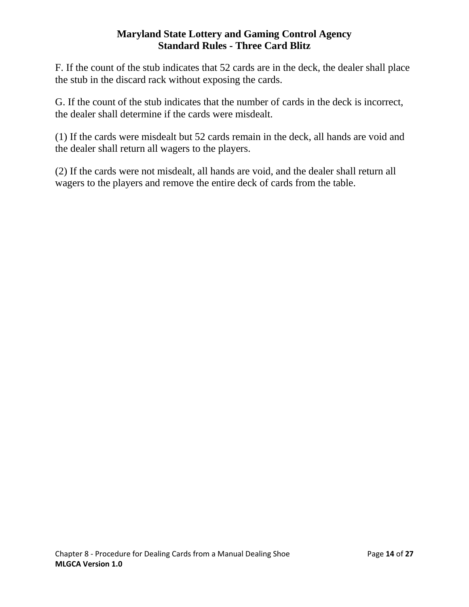F. If the count of the stub indicates that 52 cards are in the deck, the dealer shall place the stub in the discard rack without exposing the cards.

G. If the count of the stub indicates that the number of cards in the deck is incorrect, the dealer shall determine if the cards were misdealt.

(1) If the cards were misdealt but 52 cards remain in the deck, all hands are void and the dealer shall return all wagers to the players.

(2) If the cards were not misdealt, all hands are void, and the dealer shall return all wagers to the players and remove the entire deck of cards from the table.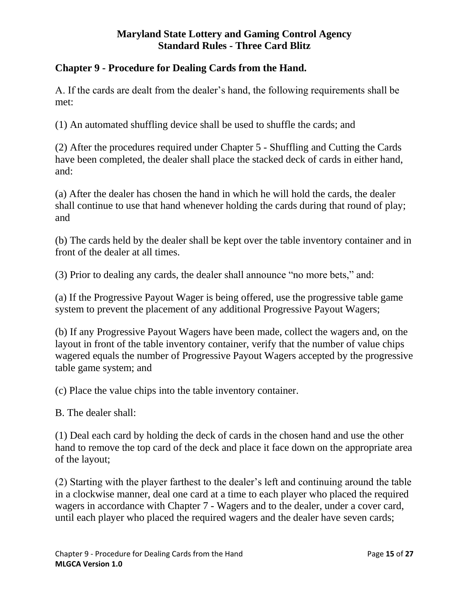## <span id="page-14-0"></span>**Chapter 9 - Procedure for Dealing Cards from the Hand.**

A. If the cards are dealt from the dealer's hand, the following requirements shall be met:

(1) An automated shuffling device shall be used to shuffle the cards; and

(2) After the procedures required under Chapter 5 - Shuffling and Cutting the Cards have been completed, the dealer shall place the stacked deck of cards in either hand, and:

(a) After the dealer has chosen the hand in which he will hold the cards, the dealer shall continue to use that hand whenever holding the cards during that round of play; and

(b) The cards held by the dealer shall be kept over the table inventory container and in front of the dealer at all times.

(3) Prior to dealing any cards, the dealer shall announce "no more bets," and:

(a) If the Progressive Payout Wager is being offered, use the progressive table game system to prevent the placement of any additional Progressive Payout Wagers;

(b) If any Progressive Payout Wagers have been made, collect the wagers and, on the layout in front of the table inventory container, verify that the number of value chips wagered equals the number of Progressive Payout Wagers accepted by the progressive table game system; and

(c) Place the value chips into the table inventory container.

B. The dealer shall:

(1) Deal each card by holding the deck of cards in the chosen hand and use the other hand to remove the top card of the deck and place it face down on the appropriate area of the layout;

(2) Starting with the player farthest to the dealer's left and continuing around the table in a clockwise manner, deal one card at a time to each player who placed the required wagers in accordance with Chapter 7 - Wagers and to the dealer, under a cover card, until each player who placed the required wagers and the dealer have seven cards;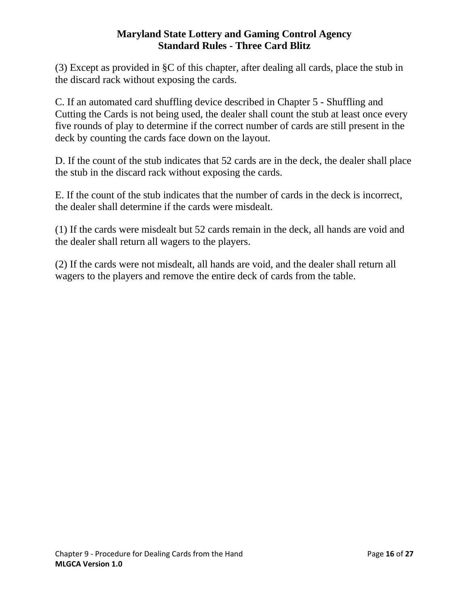(3) Except as provided in §C of this chapter, after dealing all cards, place the stub in the discard rack without exposing the cards.

C. If an automated card shuffling device described in Chapter 5 - Shuffling and Cutting the Cards is not being used, the dealer shall count the stub at least once every five rounds of play to determine if the correct number of cards are still present in the deck by counting the cards face down on the layout.

D. If the count of the stub indicates that 52 cards are in the deck, the dealer shall place the stub in the discard rack without exposing the cards.

E. If the count of the stub indicates that the number of cards in the deck is incorrect, the dealer shall determine if the cards were misdealt.

(1) If the cards were misdealt but 52 cards remain in the deck, all hands are void and the dealer shall return all wagers to the players.

(2) If the cards were not misdealt, all hands are void, and the dealer shall return all wagers to the players and remove the entire deck of cards from the table.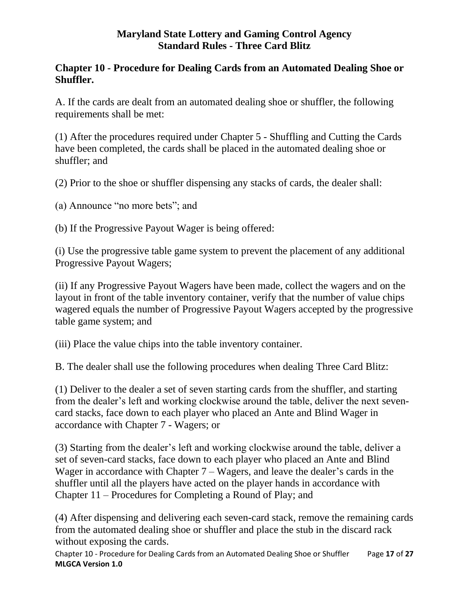## <span id="page-16-0"></span>**Chapter 10 - Procedure for Dealing Cards from an Automated Dealing Shoe or Shuffler.**

A. If the cards are dealt from an automated dealing shoe or shuffler, the following requirements shall be met:

(1) After the procedures required under Chapter 5 - Shuffling and Cutting the Cards have been completed, the cards shall be placed in the automated dealing shoe or shuffler; and

(2) Prior to the shoe or shuffler dispensing any stacks of cards, the dealer shall:

(a) Announce "no more bets"; and

(b) If the Progressive Payout Wager is being offered:

(i) Use the progressive table game system to prevent the placement of any additional Progressive Payout Wagers;

(ii) If any Progressive Payout Wagers have been made, collect the wagers and on the layout in front of the table inventory container, verify that the number of value chips wagered equals the number of Progressive Payout Wagers accepted by the progressive table game system; and

(iii) Place the value chips into the table inventory container.

B. The dealer shall use the following procedures when dealing Three Card Blitz:

(1) Deliver to the dealer a set of seven starting cards from the shuffler, and starting from the dealer's left and working clockwise around the table, deliver the next sevencard stacks, face down to each player who placed an Ante and Blind Wager in accordance with Chapter 7 - Wagers; or

(3) Starting from the dealer's left and working clockwise around the table, deliver a set of seven-card stacks, face down to each player who placed an Ante and Blind Wager in accordance with Chapter 7 – Wagers, and leave the dealer's cards in the shuffler until all the players have acted on the player hands in accordance with Chapter 11 – Procedures for Completing a Round of Play; and

(4) After dispensing and delivering each seven-card stack, remove the remaining cards from the automated dealing shoe or shuffler and place the stub in the discard rack without exposing the cards.

Chapter 10 - Procedure for Dealing Cards from an Automated Dealing Shoe or Shuffler Page **17** of **27 MLGCA Version 1.0**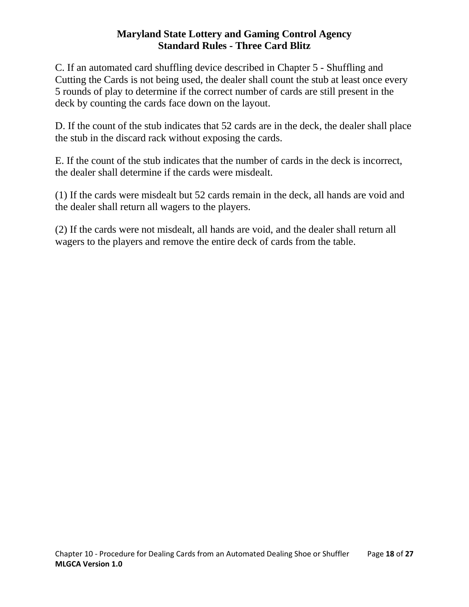C. If an automated card shuffling device described in Chapter 5 - Shuffling and Cutting the Cards is not being used, the dealer shall count the stub at least once every 5 rounds of play to determine if the correct number of cards are still present in the deck by counting the cards face down on the layout.

D. If the count of the stub indicates that 52 cards are in the deck, the dealer shall place the stub in the discard rack without exposing the cards.

E. If the count of the stub indicates that the number of cards in the deck is incorrect, the dealer shall determine if the cards were misdealt.

(1) If the cards were misdealt but 52 cards remain in the deck, all hands are void and the dealer shall return all wagers to the players.

(2) If the cards were not misdealt, all hands are void, and the dealer shall return all wagers to the players and remove the entire deck of cards from the table.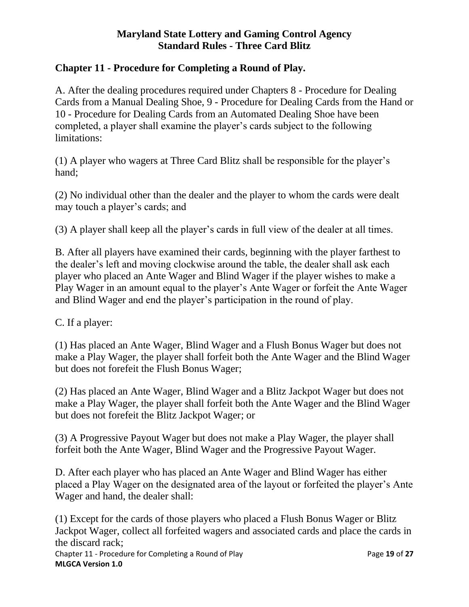## <span id="page-18-0"></span>**Chapter 11 - Procedure for Completing a Round of Play.**

A. After the dealing procedures required under Chapters 8 - Procedure for Dealing Cards from a Manual Dealing Shoe, 9 - Procedure for Dealing Cards from the Hand or 10 - Procedure for Dealing Cards from an Automated Dealing Shoe have been completed, a player shall examine the player's cards subject to the following limitations:

(1) A player who wagers at Three Card Blitz shall be responsible for the player's hand;

(2) No individual other than the dealer and the player to whom the cards were dealt may touch a player's cards; and

(3) A player shall keep all the player's cards in full view of the dealer at all times.

B. After all players have examined their cards, beginning with the player farthest to the dealer's left and moving clockwise around the table, the dealer shall ask each player who placed an Ante Wager and Blind Wager if the player wishes to make a Play Wager in an amount equal to the player's Ante Wager or forfeit the Ante Wager and Blind Wager and end the player's participation in the round of play.

C. If a player:

(1) Has placed an Ante Wager, Blind Wager and a Flush Bonus Wager but does not make a Play Wager, the player shall forfeit both the Ante Wager and the Blind Wager but does not forefeit the Flush Bonus Wager;

(2) Has placed an Ante Wager, Blind Wager and a Blitz Jackpot Wager but does not make a Play Wager, the player shall forfeit both the Ante Wager and the Blind Wager but does not forefeit the Blitz Jackpot Wager; or

(3) A Progressive Payout Wager but does not make a Play Wager, the player shall forfeit both the Ante Wager, Blind Wager and the Progressive Payout Wager.

D. After each player who has placed an Ante Wager and Blind Wager has either placed a Play Wager on the designated area of the layout or forfeited the player's Ante Wager and hand, the dealer shall:

Chapter 11 - Procedure for Completing a Round of Play Page **19** of **27 MLGCA Version 1.0** (1) Except for the cards of those players who placed a Flush Bonus Wager or Blitz Jackpot Wager, collect all forfeited wagers and associated cards and place the cards in the discard rack;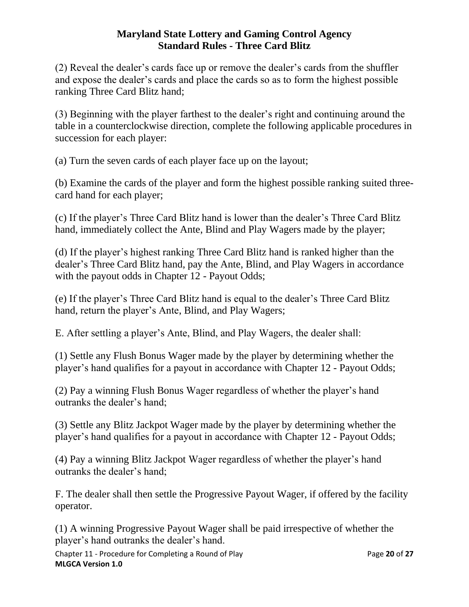(2) Reveal the dealer's cards face up or remove the dealer's cards from the shuffler and expose the dealer's cards and place the cards so as to form the highest possible ranking Three Card Blitz hand;

(3) Beginning with the player farthest to the dealer's right and continuing around the table in a counterclockwise direction, complete the following applicable procedures in succession for each player:

(a) Turn the seven cards of each player face up on the layout;

(b) Examine the cards of the player and form the highest possible ranking suited threecard hand for each player;

(c) If the player's Three Card Blitz hand is lower than the dealer's Three Card Blitz hand, immediately collect the Ante, Blind and Play Wagers made by the player;

(d) If the player's highest ranking Three Card Blitz hand is ranked higher than the dealer's Three Card Blitz hand, pay the Ante, Blind, and Play Wagers in accordance with the payout odds in Chapter 12 - Payout Odds;

(e) If the player's Three Card Blitz hand is equal to the dealer's Three Card Blitz hand, return the player's Ante, Blind, and Play Wagers;

E. After settling a player's Ante, Blind, and Play Wagers, the dealer shall:

(1) Settle any Flush Bonus Wager made by the player by determining whether the player's hand qualifies for a payout in accordance with Chapter 12 - Payout Odds;

(2) Pay a winning Flush Bonus Wager regardless of whether the player's hand outranks the dealer's hand;

(3) Settle any Blitz Jackpot Wager made by the player by determining whether the player's hand qualifies for a payout in accordance with Chapter 12 - Payout Odds;

(4) Pay a winning Blitz Jackpot Wager regardless of whether the player's hand outranks the dealer's hand;

F. The dealer shall then settle the Progressive Payout Wager, if offered by the facility operator.

(1) A winning Progressive Payout Wager shall be paid irrespective of whether the player's hand outranks the dealer's hand.

Chapter 11 - Procedure for Completing a Round of Play Page **20** of **27 MLGCA Version 1.0**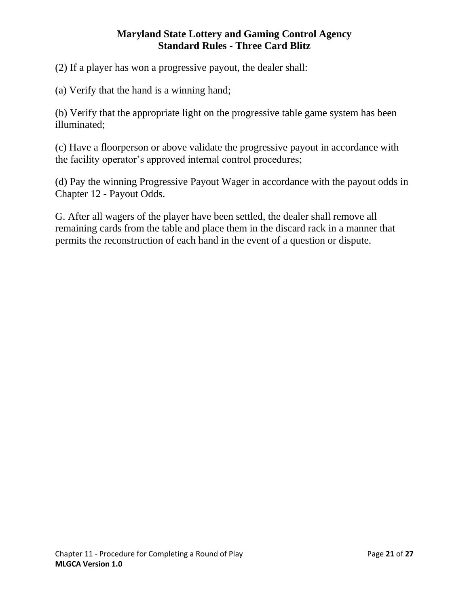(2) If a player has won a progressive payout, the dealer shall:

(a) Verify that the hand is a winning hand;

(b) Verify that the appropriate light on the progressive table game system has been illuminated;

(c) Have a floorperson or above validate the progressive payout in accordance with the facility operator's approved internal control procedures;

(d) Pay the winning Progressive Payout Wager in accordance with the payout odds in Chapter 12 - Payout Odds.

G. After all wagers of the player have been settled, the dealer shall remove all remaining cards from the table and place them in the discard rack in a manner that permits the reconstruction of each hand in the event of a question or dispute.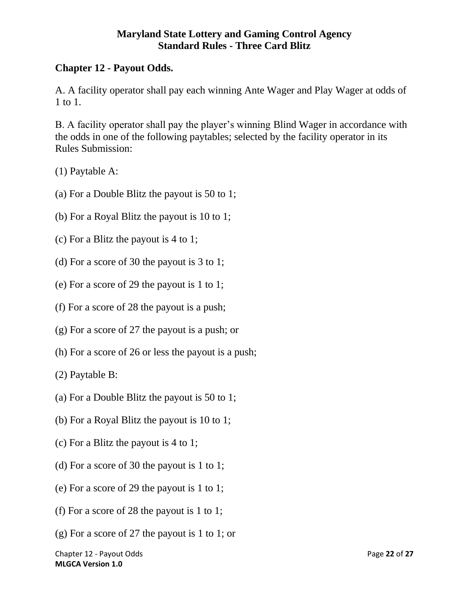# <span id="page-21-0"></span>**Chapter 12 - Payout Odds.**

A. A facility operator shall pay each winning Ante Wager and Play Wager at odds of 1 to 1.

B. A facility operator shall pay the player's winning Blind Wager in accordance with the odds in one of the following paytables; selected by the facility operator in its Rules Submission:

(1) Paytable A:

- (a) For a Double Blitz the payout is 50 to 1;
- (b) For a Royal Blitz the payout is 10 to 1;
- (c) For a Blitz the payout is 4 to 1;
- (d) For a score of 30 the payout is 3 to 1;
- (e) For a score of 29 the payout is 1 to 1;
- (f) For a score of 28 the payout is a push;
- (g) For a score of 27 the payout is a push; or
- (h) For a score of 26 or less the payout is a push;

(2) Paytable B:

- (a) For a Double Blitz the payout is 50 to 1;
- (b) For a Royal Blitz the payout is 10 to 1;
- (c) For a Blitz the payout is 4 to 1;
- (d) For a score of 30 the payout is 1 to 1;
- (e) For a score of 29 the payout is 1 to 1;
- (f) For a score of 28 the payout is 1 to 1;
- (g) For a score of 27 the payout is 1 to 1; or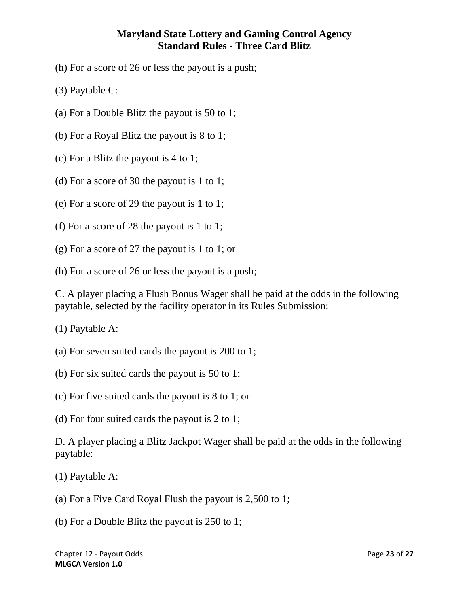- (h) For a score of 26 or less the payout is a push;
- (3) Paytable C:
- (a) For a Double Blitz the payout is 50 to 1;
- (b) For a Royal Blitz the payout is 8 to 1;
- (c) For a Blitz the payout is 4 to 1;
- (d) For a score of 30 the payout is 1 to 1;
- (e) For a score of 29 the payout is 1 to 1;
- (f) For a score of 28 the payout is 1 to 1;
- (g) For a score of 27 the payout is 1 to 1; or
- (h) For a score of 26 or less the payout is a push;

C. A player placing a Flush Bonus Wager shall be paid at the odds in the following paytable, selected by the facility operator in its Rules Submission:

(1) Paytable A:

- (a) For seven suited cards the payout is 200 to 1;
- (b) For six suited cards the payout is 50 to 1;
- (c) For five suited cards the payout is 8 to 1; or
- (d) For four suited cards the payout is 2 to 1;

D. A player placing a Blitz Jackpot Wager shall be paid at the odds in the following paytable:

- (1) Paytable A:
- (a) For a Five Card Royal Flush the payout is 2,500 to 1;
- (b) For a Double Blitz the payout is 250 to 1;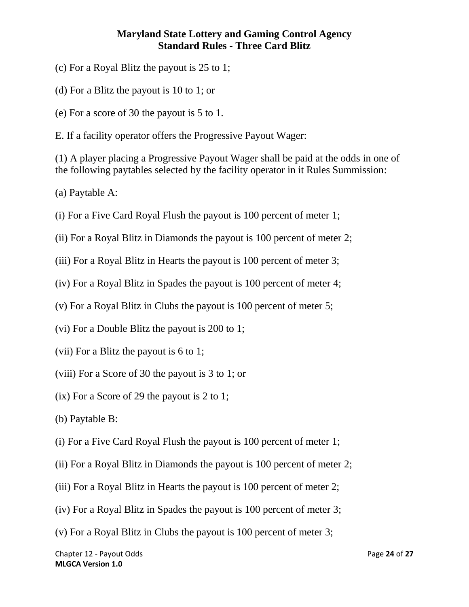- (c) For a Royal Blitz the payout is 25 to 1;
- (d) For a Blitz the payout is 10 to 1; or
- (e) For a score of 30 the payout is 5 to 1.
- E. If a facility operator offers the Progressive Payout Wager:

(1) A player placing a Progressive Payout Wager shall be paid at the odds in one of the following paytables selected by the facility operator in it Rules Summission:

(a) Paytable A:

- (i) For a Five Card Royal Flush the payout is 100 percent of meter 1;
- (ii) For a Royal Blitz in Diamonds the payout is 100 percent of meter 2;

(iii) For a Royal Blitz in Hearts the payout is 100 percent of meter 3;

- (iv) For a Royal Blitz in Spades the payout is 100 percent of meter 4;
- (v) For a Royal Blitz in Clubs the payout is 100 percent of meter 5;
- (vi) For a Double Blitz the payout is 200 to 1;
- (vii) For a Blitz the payout is 6 to 1;
- (viii) For a Score of 30 the payout is 3 to 1; or
- (ix) For a Score of 29 the payout is 2 to 1;
- (b) Paytable B:
- (i) For a Five Card Royal Flush the payout is 100 percent of meter 1;
- (ii) For a Royal Blitz in Diamonds the payout is 100 percent of meter 2;
- (iii) For a Royal Blitz in Hearts the payout is 100 percent of meter 2;
- (iv) For a Royal Blitz in Spades the payout is 100 percent of meter 3;
- (v) For a Royal Blitz in Clubs the payout is 100 percent of meter 3;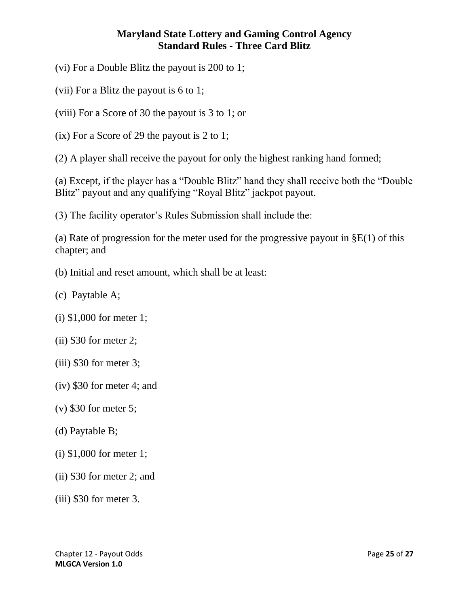(vi) For a Double Blitz the payout is 200 to 1;

(vii) For a Blitz the payout is 6 to 1;

(viii) For a Score of 30 the payout is 3 to 1; or

(ix) For a Score of 29 the payout is 2 to 1;

(2) A player shall receive the payout for only the highest ranking hand formed;

(a) Except, if the player has a "Double Blitz" hand they shall receive both the "Double Blitz" payout and any qualifying "Royal Blitz" jackpot payout.

(3) The facility operator's Rules Submission shall include the:

(a) Rate of progression for the meter used for the progressive payout in  $\S E(1)$  of this chapter; and

- (b) Initial and reset amount, which shall be at least:
- (c) Paytable A;
- (i) \$1,000 for meter 1;
- (ii) \$30 for meter 2;
- $(iii)$  \$30 for meter 3;
- (iv) \$30 for meter 4; and
- (v) \$30 for meter 5;
- (d) Paytable B;
- (i) \$1,000 for meter 1;
- (ii) \$30 for meter 2; and
- (iii) \$30 for meter 3.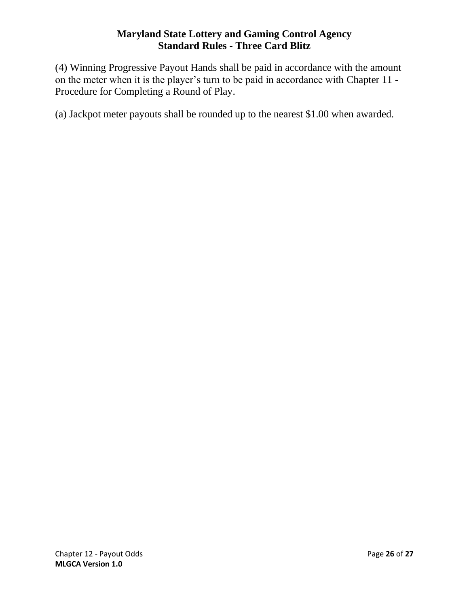(4) Winning Progressive Payout Hands shall be paid in accordance with the amount on the meter when it is the player's turn to be paid in accordance with Chapter 11 - Procedure for Completing a Round of Play.

(a) Jackpot meter payouts shall be rounded up to the nearest \$1.00 when awarded.